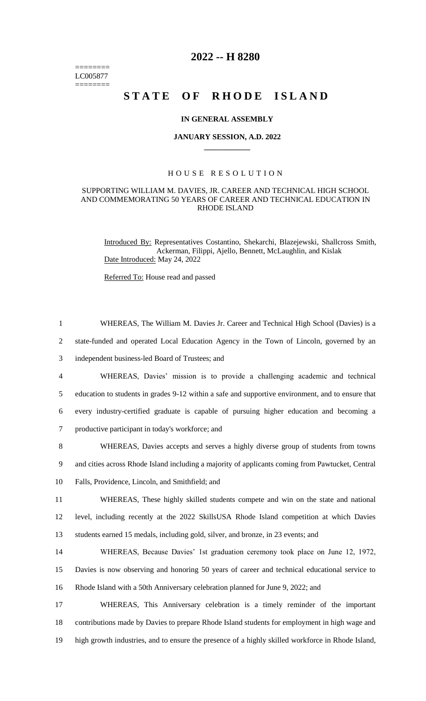======== LC005877 ========

# **2022 -- H 8280**

# **STATE OF RHODE ISLAND**

#### **IN GENERAL ASSEMBLY**

#### **JANUARY SESSION, A.D. 2022 \_\_\_\_\_\_\_\_\_\_\_\_**

## H O U S E R E S O L U T I O N

## SUPPORTING WILLIAM M. DAVIES, JR. CAREER AND TECHNICAL HIGH SCHOOL AND COMMEMORATING 50 YEARS OF CAREER AND TECHNICAL EDUCATION IN RHODE ISLAND

Introduced By: Representatives Costantino, Shekarchi, Blazejewski, Shallcross Smith, Ackerman, Filippi, Ajello, Bennett, McLaughlin, and Kislak Date Introduced: May 24, 2022

Referred To: House read and passed

| $\mathbf{1}$   | WHEREAS, The William M. Davies Jr. Career and Technical High School (Davies) is a                 |
|----------------|---------------------------------------------------------------------------------------------------|
| $\overline{2}$ | state-funded and operated Local Education Agency in the Town of Lincoln, governed by an           |
| 3              | independent business-led Board of Trustees; and                                                   |
| 4              | WHEREAS, Davies' mission is to provide a challenging academic and technical                       |
| 5              | education to students in grades 9-12 within a safe and supportive environment, and to ensure that |
| 6              | every industry-certified graduate is capable of pursuing higher education and becoming a          |
| $\tau$         | productive participant in today's workforce; and                                                  |
| 8              | WHEREAS, Davies accepts and serves a highly diverse group of students from towns                  |
| 9              | and cities across Rhode Island including a majority of applicants coming from Pawtucket, Central  |
| 10             | Falls, Providence, Lincoln, and Smithfield; and                                                   |
| 11             | WHEREAS, These highly skilled students compete and win on the state and national                  |
| 12             | level, including recently at the 2022 SkillsUSA Rhode Island competition at which Davies          |
| 13             | students earned 15 medals, including gold, silver, and bronze, in 23 events; and                  |
| 14             | WHEREAS, Because Davies' 1st graduation ceremony took place on June 12, 1972,                     |
| 15             | Davies is now observing and honoring 50 years of career and technical educational service to      |
| 16             | Rhode Island with a 50th Anniversary celebration planned for June 9, 2022; and                    |
| 17             | WHEREAS, This Anniversary celebration is a timely reminder of the important                       |
| 18             | contributions made by Davies to prepare Rhode Island students for employment in high wage and     |
| 19             | high growth industries, and to ensure the presence of a highly skilled workforce in Rhode Island, |
|                |                                                                                                   |